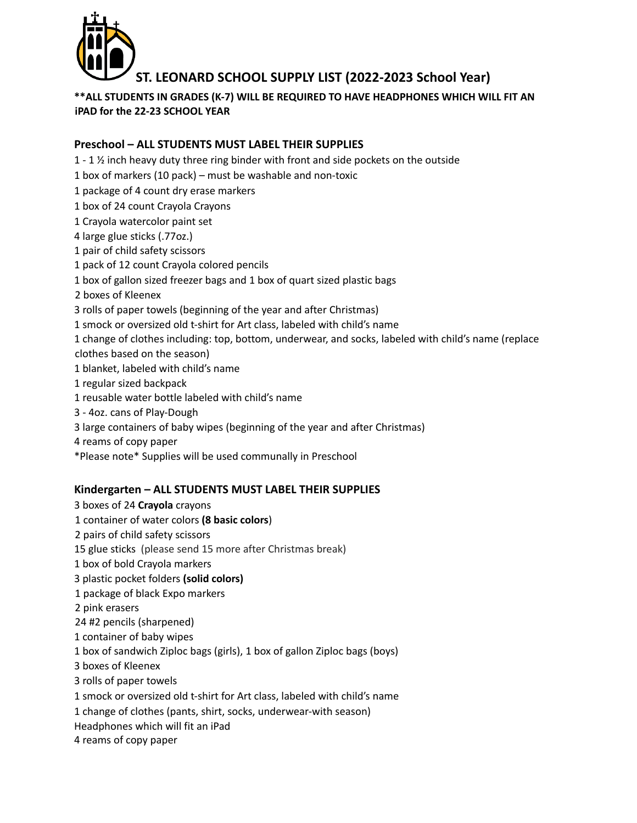

# **ST. LEONARD SCHOOL SUPPLY LIST (2022-2023 School Year)**

# **\*\*ALL STUDENTS IN GRADES (K-7) WILL BE REQUIRED TO HAVE HEADPHONES WHICH WILL FIT AN iPAD for the 22-23 SCHOOL YEAR**

# **Preschool – ALL STUDENTS MUST LABEL THEIR SUPPLIES**

- 1 ½ inch heavy duty three ring binder with front and side pockets on the outside
- box of markers (10 pack) must be washable and non-toxic
- package of 4 count dry erase markers
- box of 24 count Crayola Crayons
- Crayola watercolor paint set
- large glue sticks (.77oz.)
- pair of child safety scissors
- pack of 12 count Crayola colored pencils
- box of gallon sized freezer bags and 1 box of quart sized plastic bags
- boxes of Kleenex
- rolls of paper towels (beginning of the year and after Christmas)
- smock or oversized old t-shirt for Art class, labeled with child's name
- change of clothes including: top, bottom, underwear, and socks, labeled with child's name (replace clothes based on the season)
- blanket, labeled with child's name
- regular sized backpack
- reusable water bottle labeled with child's name
- 4oz. cans of Play-Dough
- large containers of baby wipes (beginning of the year and after Christmas)
- reams of copy paper
- \*Please note\* Supplies will be used communally in Preschool

# **Kindergarten – ALL STUDENTS MUST LABEL THEIR SUPPLIES**

 boxes of 24 **Crayola** crayons container of water colors **(8 basic colors**) pairs of child safety scissors glue sticks (please send 15 more after Christmas break) box of bold Crayola markers plastic pocket folders **(solid colors)** package of black Expo markers pink erasers #2 pencils (sharpened) container of baby wipes box of sandwich Ziploc bags (girls), 1 box of gallon Ziploc bags (boys) boxes of Kleenex rolls of paper towels smock or oversized old t-shirt for Art class, labeled with child's name change of clothes (pants, shirt, socks, underwear-with season) Headphones which will fit an iPad reams of copy paper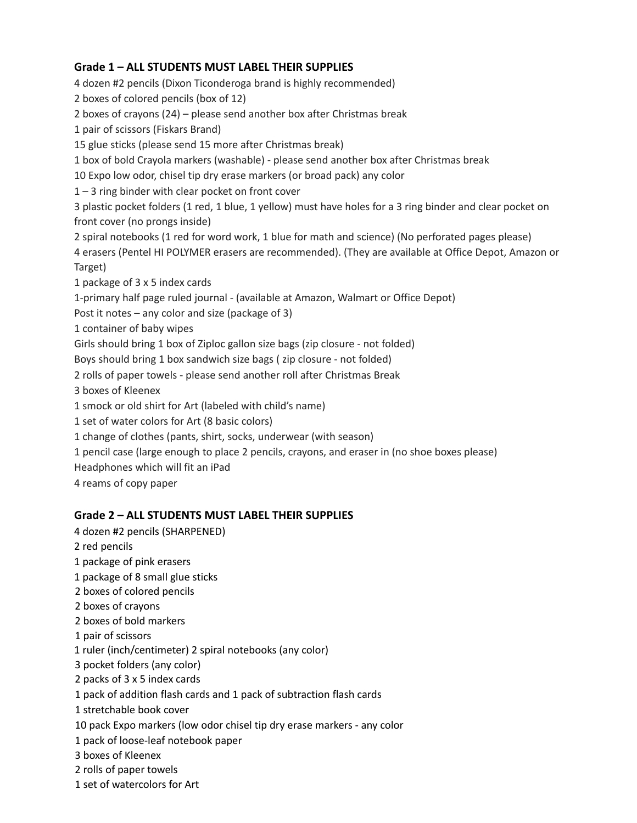### **Grade 1 – ALL STUDENTS MUST LABEL THEIR SUPPLIES**

 dozen #2 pencils (Dixon Ticonderoga brand is highly recommended) boxes of colored pencils (box of 12) boxes of crayons (24) – please send another box after Christmas break pair of scissors (Fiskars Brand) glue sticks (please send 15 more after Christmas break) box of bold Crayola markers (washable) - please send another box after Christmas break Expo low odor, chisel tip dry erase markers (or broad pack) any color – 3 ring binder with clear pocket on front cover plastic pocket folders (1 red, 1 blue, 1 yellow) must have holes for a 3 ring binder and clear pocket on front cover (no prongs inside) spiral notebooks (1 red for word work, 1 blue for math and science) (No perforated pages please) erasers (Pentel HI POLYMER erasers are recommended). (They are available at Office Depot, Amazon or Target) package of 3 x 5 index cards 1-primary half page ruled journal - (available at Amazon, Walmart or Office Depot) Post it notes – any color and size (package of 3) container of baby wipes Girls should bring 1 box of Ziploc gallon size bags (zip closure - not folded) Boys should bring 1 box sandwich size bags ( zip closure - not folded) rolls of paper towels - please send another roll after Christmas Break boxes of Kleenex smock or old shirt for Art (labeled with child's name) set of water colors for Art (8 basic colors) change of clothes (pants, shirt, socks, underwear (with season) pencil case (large enough to place 2 pencils, crayons, and eraser in (no shoe boxes please) Headphones which will fit an iPad reams of copy paper

#### **Grade 2 – ALL STUDENTS MUST LABEL THEIR SUPPLIES**

- dozen #2 pencils (SHARPENED)
- red pencils
- package of pink erasers
- package of 8 small glue sticks
- boxes of colored pencils
- boxes of crayons
- boxes of bold markers
- pair of scissors
- ruler (inch/centimeter) 2 spiral notebooks (any color)
- pocket folders (any color)
- packs of 3 x 5 index cards
- pack of addition flash cards and 1 pack of subtraction flash cards
- stretchable book cover
- pack Expo markers (low odor chisel tip dry erase markers any color
- pack of loose-leaf notebook paper
- boxes of Kleenex
- rolls of paper towels
- set of watercolors for Art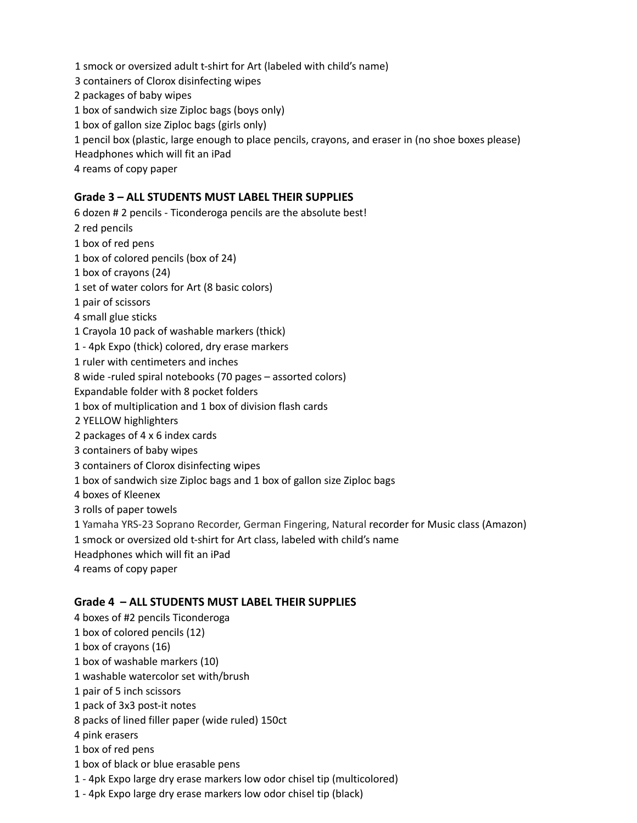smock or oversized adult t-shirt for Art (labeled with child's name) containers of Clorox disinfecting wipes packages of baby wipes box of sandwich size Ziploc bags (boys only) box of gallon size Ziploc bags (girls only) pencil box (plastic, large enough to place pencils, crayons, and eraser in (no shoe boxes please) Headphones which will fit an iPad reams of copy paper

# **Grade 3 – ALL STUDENTS MUST LABEL THEIR SUPPLIES**

dozen # 2 pencils - Ticonderoga pencils are the absolute best!

- red pencils
- box of red pens
- box of colored pencils (box of 24)
- box of crayons (24)
- set of water colors for Art (8 basic colors)
- pair of scissors
- small glue sticks
- Crayola 10 pack of washable markers (thick)
- 4pk Expo (thick) colored, dry erase markers
- ruler with centimeters and inches
- wide -ruled spiral notebooks (70 pages assorted colors)
- Expandable folder with 8 pocket folders
- box of multiplication and 1 box of division flash cards
- YELLOW highlighters
- packages of 4 x 6 index cards
- containers of baby wipes
- containers of Clorox disinfecting wipes
- box of sandwich size Ziploc bags and 1 box of gallon size Ziploc bags
- boxes of Kleenex
- rolls of paper towels
- Yamaha YRS-23 Soprano Recorder, German Fingering, Natural recorder for Music class (Amazon)
- smock or oversized old t-shirt for Art class, labeled with child's name
- Headphones which will fit an iPad
- reams of copy paper

#### **Grade 4 – ALL STUDENTS MUST LABEL THEIR SUPPLIES**

- boxes of #2 pencils Ticonderoga
- box of colored pencils (12)
- box of crayons (16)
- box of washable markers (10)
- washable watercolor set with/brush
- pair of 5 inch scissors
- pack of 3x3 post-it notes
- packs of lined filler paper (wide ruled) 150ct
- pink erasers
- box of red pens
- box of black or blue erasable pens
- 4pk Expo large dry erase markers low odor chisel tip (multicolored)
- 4pk Expo large dry erase markers low odor chisel tip (black)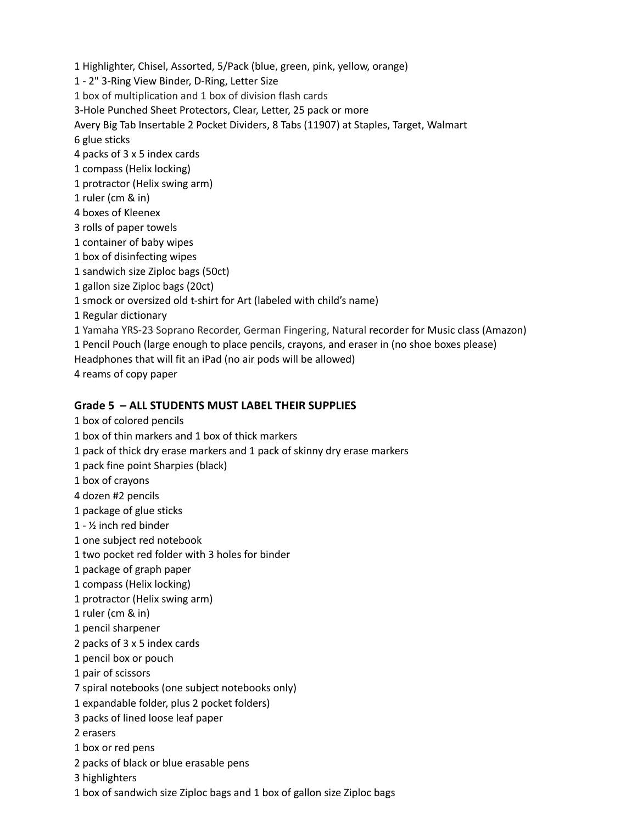Highlighter, Chisel, Assorted, 5/Pack (blue, green, pink, yellow, orange) - 2" 3-Ring View Binder, D-Ring, Letter Size box of multiplication and 1 box of division flash cards 3-Hole Punched Sheet Protectors, Clear, Letter, 25 pack or more Avery Big Tab Insertable 2 Pocket Dividers, 8 Tabs (11907) at Staples, Target, Walmart glue sticks packs of 3 x 5 index cards compass (Helix locking) protractor (Helix swing arm) ruler (cm & in) boxes of Kleenex rolls of paper towels container of baby wipes box of disinfecting wipes sandwich size Ziploc bags (50ct) gallon size Ziploc bags (20ct) smock or oversized old t-shirt for Art (labeled with child's name) Regular dictionary Yamaha YRS-23 Soprano Recorder, German Fingering, Natural recorder for Music class (Amazon) Pencil Pouch (large enough to place pencils, crayons, and eraser in (no shoe boxes please) Headphones that will fit an iPad (no air pods will be allowed)

reams of copy paper

# **Grade 5 – ALL STUDENTS MUST LABEL THEIR SUPPLIES**

- box of colored pencils
- box of thin markers and 1 box of thick markers
- pack of thick dry erase markers and 1 pack of skinny dry erase markers
- pack fine point Sharpies (black)
- box of crayons
- dozen #2 pencils
- package of glue sticks
- ½ inch red binder
- one subject red notebook
- two pocket red folder with 3 holes for binder
- package of graph paper
- compass (Helix locking)
- protractor (Helix swing arm)
- ruler (cm & in)
- pencil sharpener
- packs of 3 x 5 index cards
- pencil box or pouch
- pair of scissors
- spiral notebooks (one subject notebooks only)
- expandable folder, plus 2 pocket folders)
- packs of lined loose leaf paper
- erasers
- box or red pens
- packs of black or blue erasable pens
- highlighters
- box of sandwich size Ziploc bags and 1 box of gallon size Ziploc bags